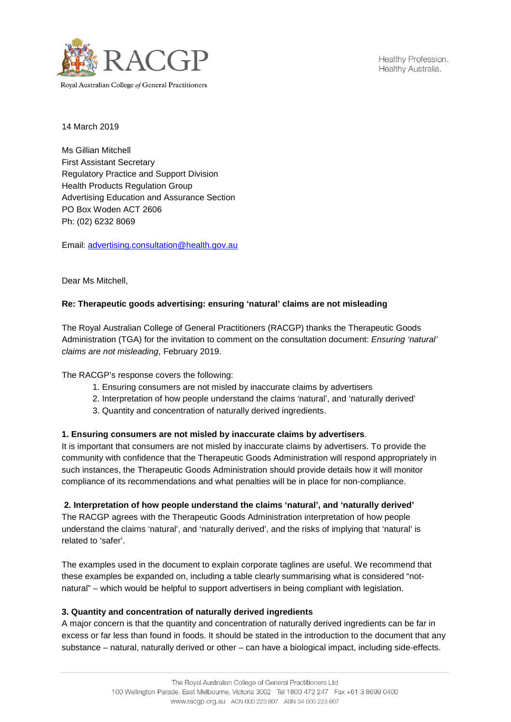

14 March 2019

Ms Gillian Mitchell First Assistant Secretary Regulatory Practice and Support Division Health Products Regulation Group Advertising Education and Assurance Section PO Box Woden ACT 2606 Ph: (02) 6232 8069

Email: [advertising.consultation@health.gov.au](mailto:advertising.consultation@health.gov.au)

Dear Ms Mitchell,

## **Re: Therapeutic goods advertising: ensuring 'natural' claims are not misleading**

The Royal Australian College of General Practitioners (RACGP) thanks the Therapeutic Goods Administration (TGA) for the invitation to comment on the consultation document: *Ensuring 'natural' claims are not misleading*, February 2019.

The RACGP's response covers the following:

- 1. Ensuring consumers are not misled by inaccurate claims by advertisers
- 2. Interpretation of how people understand the claims 'natural', and 'naturally derived'
- 3. Quantity and concentration of naturally derived ingredients.

## **1. Ensuring consumers are not misled by inaccurate claims by advertisers**.

It is important that consumers are not misled by inaccurate claims by advertisers. To provide the community with confidence that the Therapeutic Goods Administration will respond appropriately in such instances, the Therapeutic Goods Administration should provide details how it will monitor compliance of its recommendations and what penalties will be in place for non-compliance.

## **2. Interpretation of how people understand the claims 'natural', and 'naturally derived'**

The RACGP agrees with the Therapeutic Goods Administration interpretation of how people understand the claims 'natural', and 'naturally derived', and the risks of implying that 'natural' is related to 'safer'.

The examples used in the document to explain corporate taglines are useful. We recommend that these examples be expanded on, including a table clearly summarising what is considered "notnatural" – which would be helpful to support advertisers in being compliant with legislation.

## **3. Quantity and concentration of naturally derived ingredients**

A major concern is that the quantity and concentration of naturally derived ingredients can be far in excess or far less than found in foods. It should be stated in the introduction to the document that any substance – natural, naturally derived or other – can have a biological impact, including side-effects.